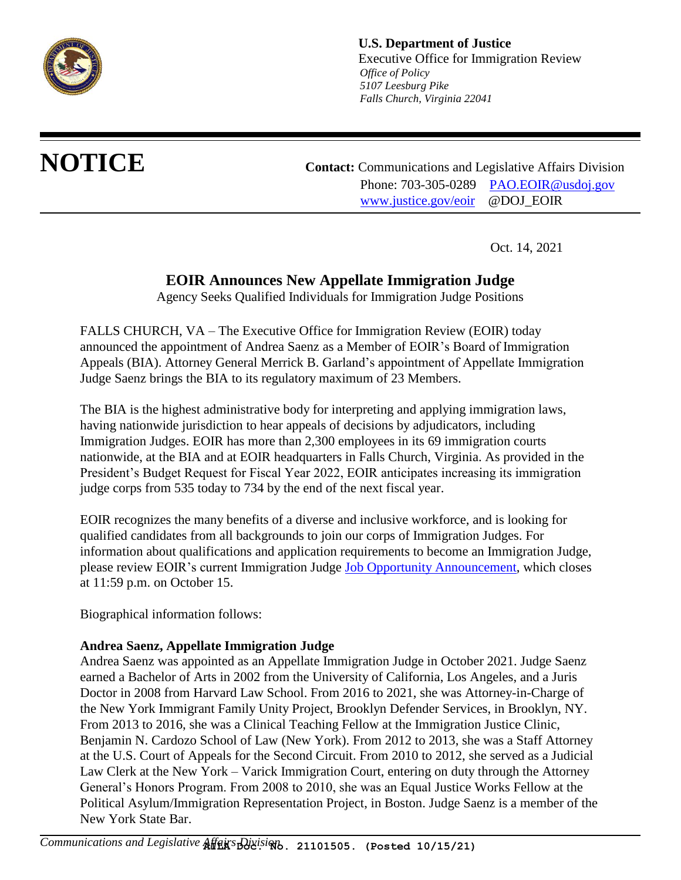

**U.S. Department of Justice** Executive Office for Immigration Review  *Office of Policy 5107 Leesburg Pike Falls Church, Virginia 22041*

**NOTICE Contact:** Communications and Legislative Affairs Division Phone: 703-305-0289 PAO.EOIR@usdoi.gov www.justice.gov/eoir @DOJ\_EOIR

Oct. 14, 2021

## **EOIR Announces New Appellate Immigration Judge**

Agency Seeks Qualified Individuals for Immigration Judge Positions

FALLS CHURCH, VA – The Executive Office for Immigration Review (EOIR) today announced the appointment of Andrea Saenz as a Member of EOIR's Board of Immigration Appeals (BIA). Attorney General Merrick B. Garland's appointment of Appellate Immigration Judge Saenz brings the BIA to its regulatory maximum of 23 Members.

The BIA is the highest administrative body for interpreting and applying immigration laws, having nationwide jurisdiction to hear appeals of decisions by adjudicators, including Immigration Judges. EOIR has more than 2,300 employees in its 69 immigration courts nationwide, at the BIA and at EOIR headquarters in Falls Church, Virginia. As provided in the President's Budget Request for Fiscal Year 2022, EOIR anticipates increasing its immigration judge corps from 535 today to 734 by the end of the next fiscal year.

EOIR recognizes the many benefits of a diverse and inclusive workforce, and is looking for qualified candidates from all backgrounds to join our corps of Immigration Judges. For information about qualifications and application requirements to become an Immigration Judge, please review EOIR's current Immigration Judge **Job Opportunity Announcement**, which closes at 11:59 p.m. on October 15.

Biographical information follows:

## **Andrea Saenz, Appellate Immigration Judge**

Andrea Saenz was appointed as an Appellate Immigration Judge in October 2021. Judge Saenz earned a Bachelor of Arts in 2002 from the University of California, Los Angeles, and a Juris Doctor in 2008 from Harvard Law School. From 2016 to 2021, she was Attorney-in-Charge of the New York Immigrant Family Unity Project, Brooklyn Defender Services, in Brooklyn, NY. From 2013 to 2016, she was a Clinical Teaching Fellow at the Immigration Justice Clinic, Benjamin N. Cardozo School of Law (New York). From 2012 to 2013, she was a Staff Attorney at the U.S. Court of Appeals for the Second Circuit. From 2010 to 2012, she served as a Judicial Law Clerk at the New York – Varick Immigration Court, entering on duty through the Attorney General's Honors Program. From 2008 to 2010, she was an Equal Justice Works Fellow at the Political Asylum/Immigration Representation Project, in Boston. Judge Saenz is a member of the New York State Bar.